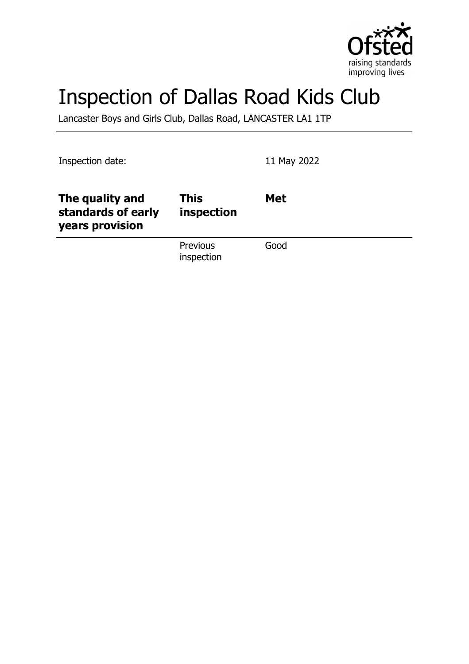

# Inspection of Dallas Road Kids Club

Lancaster Boys and Girls Club, Dallas Road, LANCASTER LA1 1TP

Inspection date: 11 May 2022

| The quality and<br>standards of early<br>years provision | <b>This</b><br>inspection     | <b>Met</b> |
|----------------------------------------------------------|-------------------------------|------------|
|                                                          | <b>Previous</b><br>inspection | Good       |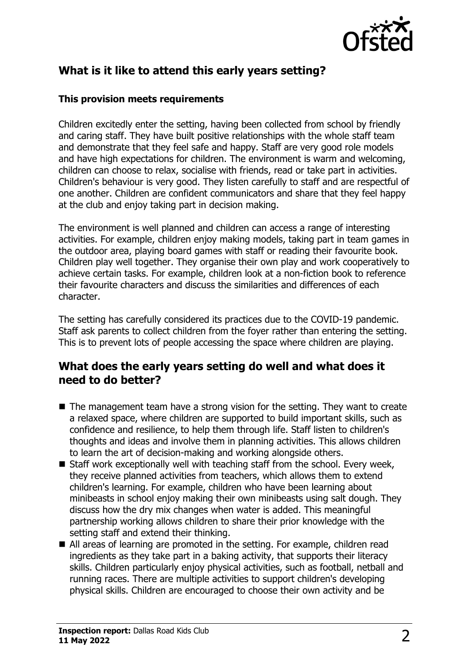

# **What is it like to attend this early years setting?**

#### **This provision meets requirements**

Children excitedly enter the setting, having been collected from school by friendly and caring staff. They have built positive relationships with the whole staff team and demonstrate that they feel safe and happy. Staff are very good role models and have high expectations for children. The environment is warm and welcoming, children can choose to relax, socialise with friends, read or take part in activities. Children's behaviour is very good. They listen carefully to staff and are respectful of one another. Children are confident communicators and share that they feel happy at the club and enjoy taking part in decision making.

The environment is well planned and children can access a range of interesting activities. For example, children enjoy making models, taking part in team games in the outdoor area, playing board games with staff or reading their favourite book. Children play well together. They organise their own play and work cooperatively to achieve certain tasks. For example, children look at a non-fiction book to reference their favourite characters and discuss the similarities and differences of each character.

The setting has carefully considered its practices due to the COVID-19 pandemic. Staff ask parents to collect children from the foyer rather than entering the setting. This is to prevent lots of people accessing the space where children are playing.

## **What does the early years setting do well and what does it need to do better?**

- $\blacksquare$  The management team have a strong vision for the setting. They want to create a relaxed space, where children are supported to build important skills, such as confidence and resilience, to help them through life. Staff listen to children's thoughts and ideas and involve them in planning activities. This allows children to learn the art of decision-making and working alongside others.
- $\blacksquare$  Staff work exceptionally well with teaching staff from the school. Every week, they receive planned activities from teachers, which allows them to extend children's learning. For example, children who have been learning about minibeasts in school enjoy making their own minibeasts using salt dough. They discuss how the dry mix changes when water is added. This meaningful partnership working allows children to share their prior knowledge with the setting staff and extend their thinking.
- All areas of learning are promoted in the setting. For example, children read ingredients as they take part in a baking activity, that supports their literacy skills. Children particularly enjoy physical activities, such as football, netball and running races. There are multiple activities to support children's developing physical skills. Children are encouraged to choose their own activity and be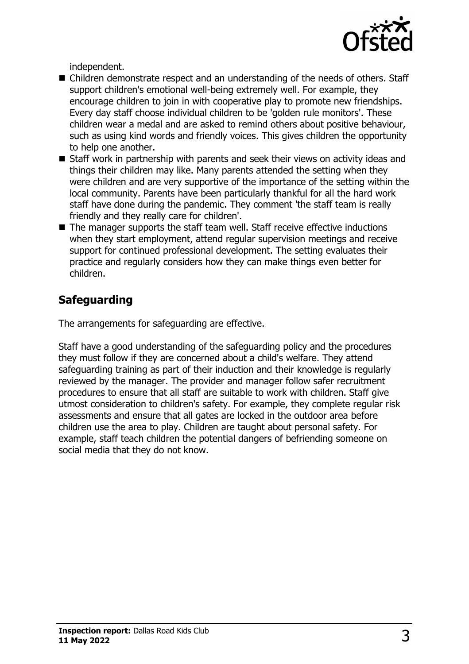

independent.

- Children demonstrate respect and an understanding of the needs of others. Staff support children's emotional well-being extremely well. For example, they encourage children to join in with cooperative play to promote new friendships. Every day staff choose individual children to be 'golden rule monitors'. These children wear a medal and are asked to remind others about positive behaviour, such as using kind words and friendly voices. This gives children the opportunity to help one another.
- Staff work in partnership with parents and seek their views on activity ideas and things their children may like. Many parents attended the setting when they were children and are very supportive of the importance of the setting within the local community. Parents have been particularly thankful for all the hard work staff have done during the pandemic. They comment 'the staff team is really friendly and they really care for children'.
- $\blacksquare$  The manager supports the staff team well. Staff receive effective inductions when they start employment, attend regular supervision meetings and receive support for continued professional development. The setting evaluates their practice and regularly considers how they can make things even better for children.

# **Safeguarding**

The arrangements for safeguarding are effective.

Staff have a good understanding of the safeguarding policy and the procedures they must follow if they are concerned about a child's welfare. They attend safeguarding training as part of their induction and their knowledge is regularly reviewed by the manager. The provider and manager follow safer recruitment procedures to ensure that all staff are suitable to work with children. Staff give utmost consideration to children's safety. For example, they complete regular risk assessments and ensure that all gates are locked in the outdoor area before children use the area to play. Children are taught about personal safety. For example, staff teach children the potential dangers of befriending someone on social media that they do not know.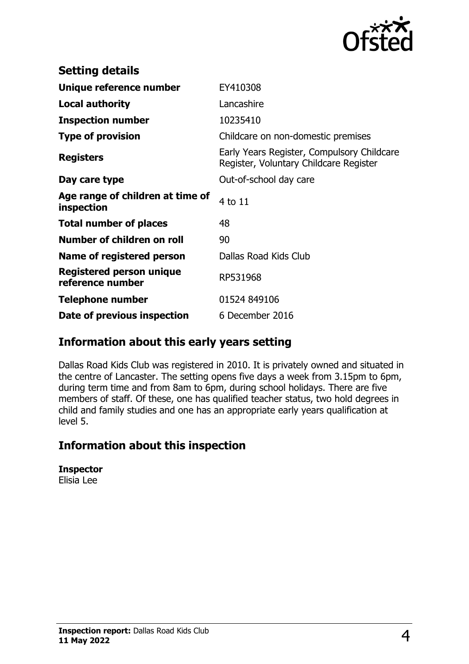

| <b>Setting details</b>                         |                                                                                      |
|------------------------------------------------|--------------------------------------------------------------------------------------|
| Unique reference number                        | EY410308                                                                             |
| <b>Local authority</b>                         | Lancashire                                                                           |
| <b>Inspection number</b>                       | 10235410                                                                             |
| <b>Type of provision</b>                       | Childcare on non-domestic premises                                                   |
| <b>Registers</b>                               | Early Years Register, Compulsory Childcare<br>Register, Voluntary Childcare Register |
| Day care type                                  | Out-of-school day care                                                               |
| Age range of children at time of<br>inspection | 4 to 11                                                                              |
| <b>Total number of places</b>                  | 48                                                                                   |
| Number of children on roll                     | 90                                                                                   |
| Name of registered person                      | Dallas Road Kids Club                                                                |
| Registered person unique<br>reference number   | RP531968                                                                             |
| <b>Telephone number</b>                        | 01524 849106                                                                         |
| Date of previous inspection                    | 6 December 2016                                                                      |

## **Information about this early years setting**

Dallas Road Kids Club was registered in 2010. It is privately owned and situated in the centre of Lancaster. The setting opens five days a week from 3.15pm to 6pm, during term time and from 8am to 6pm, during school holidays. There are five members of staff. Of these, one has qualified teacher status, two hold degrees in child and family studies and one has an appropriate early years qualification at level 5.

## **Information about this inspection**

**Inspector** Elisia Lee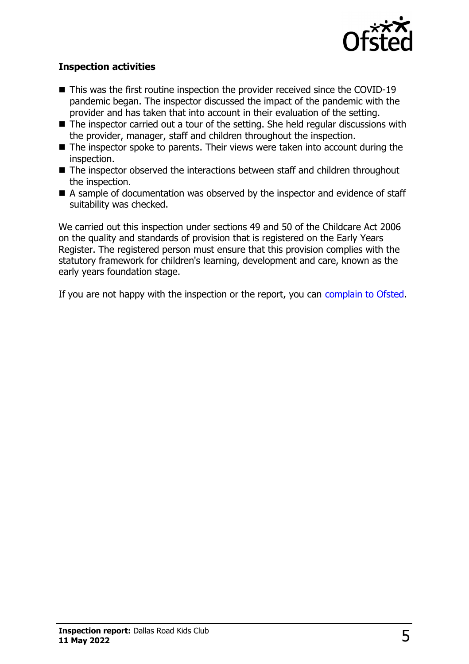

#### **Inspection activities**

- $\blacksquare$  This was the first routine inspection the provider received since the COVID-19 pandemic began. The inspector discussed the impact of the pandemic with the provider and has taken that into account in their evaluation of the setting.
- $\blacksquare$  The inspector carried out a tour of the setting. She held regular discussions with the provider, manager, staff and children throughout the inspection.
- $\blacksquare$  The inspector spoke to parents. Their views were taken into account during the inspection.
- $\blacksquare$  The inspector observed the interactions between staff and children throughout the inspection.
- $\blacksquare$  A sample of documentation was observed by the inspector and evidence of staff suitability was checked.

We carried out this inspection under sections 49 and 50 of the Childcare Act 2006 on the quality and standards of provision that is registered on the Early Years Register. The registered person must ensure that this provision complies with the statutory framework for children's learning, development and care, known as the early years foundation stage.

If you are not happy with the inspection or the report, you can [complain to Ofsted](http://www.gov.uk/complain-ofsted-report).